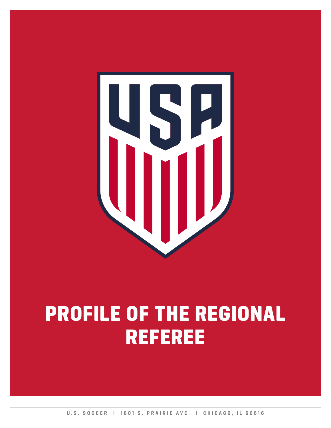

# PROFILE OF THE REGIONAL REFEREE

**U.S. SOCCER | 1801 S. PRAIRIE AVE. | CHICAGO, IL 60616**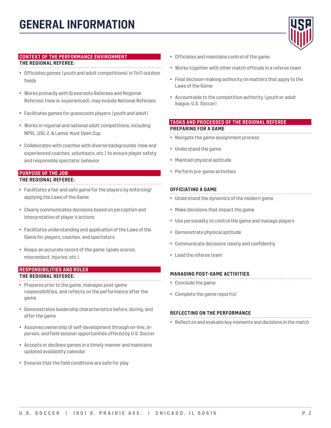

#### **CONTEXT OF THE PERFORMANCE ENVIRONMENT**

#### **THE REGIONAL REFEREE:**

- Officiates games (youth and adult competitions) in 11v11 outdoor fields
- Works primarily with Grassroots Referees and Regional Referees (new or experienced), may include National Referees
- Facilitates games for grassroots players (youth and adult)
- Works in regional and national adult competitions, including NPSL, USL-2, & Lamar Hunt Open Cup
- Collaborates with coaches with diverse backgrounds (new and experienced coaches, volunteers, etc.) to ensure player safety and responsible spectator behavior

### **PURPOSE OF THE JOB**

#### **THE REGIONAL REFEREE:**

- Facilitates a fair and safe game for the players by enforcing/ applying the Laws of the Game
- Clearly communicates decisions based on perception and interpretation of player's actions
- Facilitates understanding and application of the Laws of the Game for players, coaches, and spectators
- Keeps an accurate record of the game (goals scored, misconduct, injuries, etc.)

#### **RESPONSIBILITIES AND ROLES THE REGIONAL REFEREE:**

- Prepares prior to the game, manages post-game responsibilities, and reflects on the performance after the game
- Demonstrates leadership characteristics before, during, and after the game
- Assumes ownership of self-development through on-line, inperson, and field session opportunities offered by U.S. Soccer
- Accepts or declines games in a timely manner and maintains updated availability calendar
- Ensures that the field conditions are safe for play
- Officiates and maintains control of the game
- Works together with other match officials in a referee team
- Final decision-making authority on matters that apply to the Laws of the Game
- Accountable to the competition authority (youth or adult league, U.S. Soccer)

#### **TASKS AND PROCESSES OF THE REGIONAL REFEREE PREPARING FOR A GAME**

- Navigate the game assignment process
- Understand the game
- Maintain physical aptitude
- Perform pre-game activities

#### **OFFICIATING A GAME**

- Understand the dynamics of the modern game
- Make decisions that impact the game
- Use personality to control the game and manage players
- Demonstrate physical aptitude
- Communicate decisions clearly and confidently
- Lead the referee team

#### **MANAGING POST-GAME ACTIVITIES**

- Conclude the game
- Complete the game report(s)

#### **REFLECTING ON THE PERFORMANCE**

• Reflect on and evaluate key moments and decisions in the match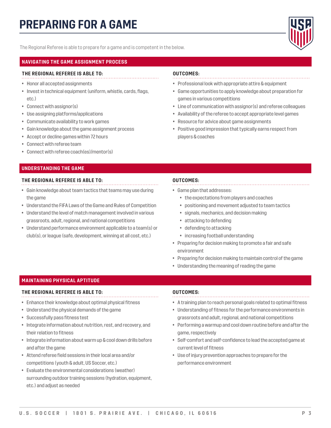

The Regional Referee is able to prepare for a game and is competent in the below.

#### **NAVIGATING THE GAME ASSIGNMENT PROCESS**

#### **THE REGIONAL REFEREE IS ABLE TO:**

- Honor all accepted assignments
- Invest in technical equipment (uniform, whistle, cards, flags, etc.)
- Connect with assignor(s)
- Use assigning platforms/applications
- Communicate availability to work games
- Gain knowledge about the game assignment process
- Accept or decline games within 72 hours
- Connect with referee team
- Connect with referee coach(es)/mentor(s)

#### **UNDERSTANDING THE GAME**

#### **THE REGIONAL REFEREE IS ABLE TO:**

- Gain knowledge about team tactics that teams may use during the game
- Understand the FIFA Laws of the Game and Rules of Competition
- Understand the level of match management involved in various grassroots, adult, regional, and national competitions
- Understand performance environment applicable to a team(s) or club(s), or league (safe, development, winning at all cost, etc.)

#### **OUTCOMES:**

- Professional look with appropriate attire & equipment
- Game opportunities to apply knowledge about preparation for games in various competitions
- Line of communication with assignor(s) and referee colleagues
- Availability of the referee to accept appropriate level games
- Resource for advice about game assignments
- Positive good impression that typically earns respect from players & coaches

#### **OUTCOMES:**

- Game plan that addresses:
	- the expectations from players and coaches
	- positioning and movement adjusted to team tactics
	- signals, mechanics, and decision making
	- attacking to defending
	- defending to attacking
	- increasing football understanding
- Preparing for decision making to promote a fair and safe environment
- Preparing for decision making to maintain control of the game
- Understanding the meaning of reading the game

#### **MAINTAINING PHYSICAL APTITUDE**

#### **THE REGIONAL REFEREE IS ABLE TO:**

- Enhance their knowledge about optimal physical fitness
- Understand the physical demands of the game
- Successfully pass fitness test
- Integrate information about nutrition, rest, and recovery, and their relation to fitness
- Integrate information about warm up & cool down drills before and after the game
- Attend referee field sessions in their local area and/or competitions (youth & adult, US Soccer, etc.)
- Evaluate the environmental considerations (weather) surrounding outdoor training sessions (hydration, equipment, etc.) and adjust as needed

- A training plan to reach personal goals related to optimal fitness
- Understanding of fitness for the performance environments in grassroots and adult, regional, and national competitions
- Performing a warmup and cool down routine before and after the game, respectively
- Self-comfort and self-confidence to lead the accepted game at current level of fitness
- Use of injury prevention approaches to prepare for the performance environment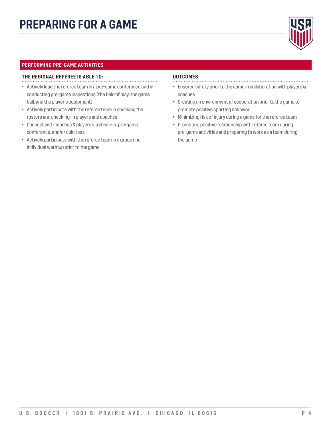

#### **PERFORMING PRE-GAME ACTIVITIES**

#### **THE REGIONAL REFEREE IS ABLE TO:**

- Actively lead the referee team in a pre-game conference and in conducting pre-game inspections (the field of play, the game ball, and the player's equipment)
- Actively participate with the referee team in checking the rosters and checking-in players and coaches
- Connect with coaches & players via check-in, pre-game conference, and/or coin toss
- Actively participate with the referee team in a group and individual warmup prior to the game

- 
- Ensured safety prior to the game in collaboration with players & coaches
- Creating an environment of cooperation prior to the game to promote positive sporting behavior
- Minimizing risk of injury during a game for the referee team
- Promoting positive relationship with referee team during pre-game activities and preparing to work as a team during the game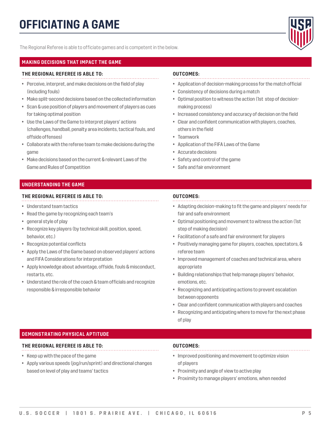

The Regional Referee is able to officiate games and is competent in the below.

#### **MAKING DECISIONS THAT IMPACT THE GAME**

#### **THE REGIONAL REFEREE IS ABLE TO:**

- Perceive, interpret, and make decisions on the field of play (including fouls)
- Make split-second decisions based on the collected information
- Scan & use position of players and movement of players as cues for taking optimal position
- Use the Laws of the Game to interpret players' actions (challenges, handball, penalty area incidents, tactical fouls, and offside offenses)
- Collaborate with the referee team to make decisions during the game
- Make decisions based on the current & relevant Laws of the Game and Rules of Competition

#### **UNDERSTANDING THE GAME**

#### **THE REGIONAL REFEREE IS ABLE TO:**

- Understand team tactics
- Read the game by recognizing each team's
- general style of play
- Recognize key players (by technical skill, position, speed, behavior, etc.)
- Recognize potential conflicts
- Apply the Laws of the Game based on observed players' actions and FIFA Considerations for interpretation
- Apply knowledge about advantage, offside, fouls & misconduct, restarts, etc.
- Understand the role of the coach & team officials and recognize responsible & irresponsible behavior

#### **OUTCOMES:**

- Application of decision-making process for the match official
- Consistency of decisions during a match
- Optimal position to witness the action (1st step of decisionmaking process)
- Increased consistency and accuracy of decision on the field
- Clear and confident communication with players, coaches, others in the field
- Teamwork
- Application of the FIFA Laws of the Game
- Accurate decisions
- Safety and control of the game
- Safe and fair environment

#### **OUTCOMES:**

- Adapting decision-making to fit the game and players' needs for fair and safe environment
- Optimal positioning and movement to witness the action (1st step of making decision)
- Facilitation of a safe and fair environment for players
- Positively managing game for players, coaches, spectators, & referee team
- Improved management of coaches and technical area, where appropriate
- Building relationships that help manage players' behavior, emotions, etc.
- Recognizing and anticipating actions to prevent escalation between opponents
- Clear and confident communication with players and coaches
- Recognizing and anticipating where to move for the next phase of play

#### **DEMONSTRATING PHYSICAL APTITUDE**

#### **THE REGIONAL REFEREE IS ABLE TO:**

- Keep up with the pace of the game
- Apply various speeds (jog/run/sprint) and directional changes based on level of play and teams' tactics

- Improved positioning and movement to optimize vision of players
- Proximity and angle of view to active play
- Proximity to manage players' emotions, when needed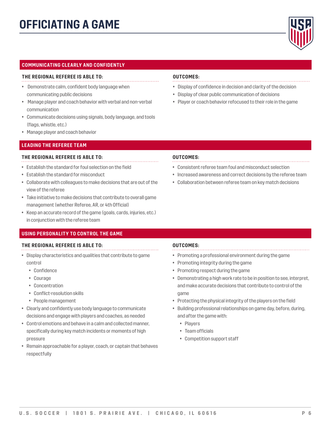### **OFFICIATING A GAME**



#### **COMMUNICATING CLEARLY AND CONFIDENTLY**

#### **THE REGIONAL REFEREE IS ABLE TO:**

- Demonstrate calm, confident body language when communicating public decisions
- Manage player and coach behavior with verbal and non-verbal communication
- Communicate decisions using signals, body language, and tools (flags, whistle, etc.)
- Manage player and coach behavior

#### **LEADING THE REFEREE TEAM**

#### **THE REGIONAL REFEREE IS ABLE TO:**

- Establish the standard for foul selection on the field
- Establish the standard for misconduct
- Collaborate with colleagues to make decisions that are out of the view of the referee
- Take initiative to make decisions that contribute to overall game management (whether Referee, AR, or 4th Official)
- Keep an accurate record of the game (goals, cards, injuries, etc.) in conjunction with the referee team

#### **USING PERSONALITY TO CONTROL THE GAME**

#### **THE REGIONAL REFEREE IS ABLE TO:**

- Display characteristics and qualities that contribute to game control
	- Confidence
	- Courage
	- Concentration
	- Conflict-resolution skills
	- People management
- Clearly and confidently use body language to communicate decisions and engage with players and coaches, as needed
- Control emotions and behave in a calm and collected manner, specifically during key match incidents or moments of high pressure
- Remain approachable for a player, coach, or captain that behaves respectfully

#### **OUTCOMES:**

- 
- Display of confidence in decision and clarity of the decision
- Display of clear public communication of decisions
- Player or coach behavior refocused to their role in the game

#### **OUTCOMES:**

- Consistent referee team foul and misconduct selection
- Increased awareness and correct decisions by the referee team
- Collaboration between referee team on key match decisions

- Promoting a professional environment during the game
- Promoting integrity during the game
- Promoting respect during the game
- Demonstrating a high work rate to be in position to see, interpret, and make accurate decisions that contribute to control of the game
- Protecting the physical integrity of the players on the field
- Building professional relationships on game day, before, during, and after the game with:
	- Players
	- Team officials
	- Competition support staff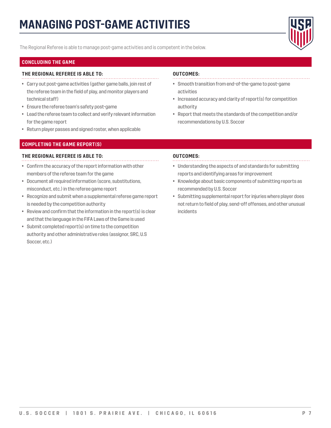### **MANAGING POST-GAME ACTIVITIES**



The Regional Referee is able to manage post-game activities and is competent in the below.

#### **CONCLUDING THE GAME**

#### **THE REGIONAL REFEREE IS ABLE TO:**

- Carry out post-game activities (gather game balls, join rest of the referee team in the field of play, and monitor players and technical staff)
- Ensure the referee team's safety post-game
- Lead the referee team to collect and verify relevant information for the game report
- Return player passes and signed roster, when applicable

#### **COMPLETING THE GAME REPORT(S)**

#### **THE REGIONAL REFEREE IS ABLE TO:**

- Confirm the accuracy of the report information with other members of the referee team for the game
- Document all required information (score, substitutions, misconduct, etc.) in the referee game report
- Recognize and submit when a supplemental referee game report is needed by the competition authority
- Review and confirm that the information in the report(s) is clear and that the language in the FIFA Laws of the Game is used
- Submit completed report(s) on time to the competition authority and other administrative roles (assignor, SRC, U.S Soccer, etc.)

#### **OUTCOMES:**

- Smooth transition from end-of-the-game to post-game activities
- Increased accuracy and clarity of report(s) for competition authority
- Report that meets the standards of the competition and/or recommendations by U.S. Soccer

- Understanding the aspects of and standards for submitting reports and identifying areas for improvement
- Knowledge about basic components of submitting reports as recommended by U.S. Soccer
- Submitting supplemental report for injuries where player does not return to field of play, send-off offenses, and other unusual incidents